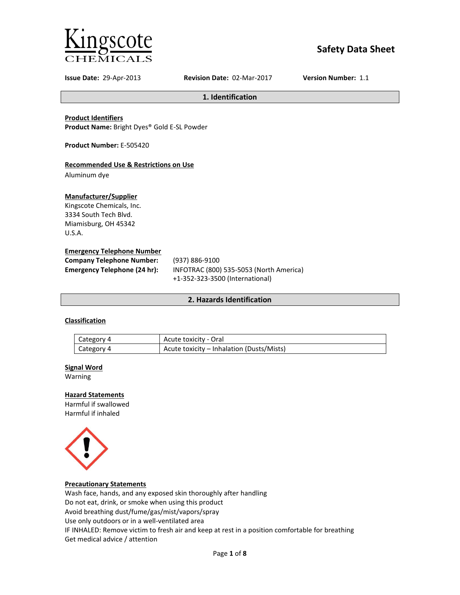

# **Safety Data Sheet**

**Issue Date:** 29-Apr-2013 **Revision Date:** 02-Mar-2017 **Version Number:** 1.1

**1. Identification**

**Product Identifiers**

**Product Name:** Bright Dyes® Gold E-SL Powder

**Product Number:** E-505420

### **Recommended Use & Restrictions on Use**

Aluminum dye

### **Manufacturer/Supplier**

Kingscote Chemicals, Inc. 3334 South Tech Blvd. Miamisburg, OH 45342 U.S.A.

### **Emergency Telephone Number**

| <b>Company Telephone Number:</b> | (937) 886-9100                          |
|----------------------------------|-----------------------------------------|
| Emergency Telephone (24 hr):     | INFOTRAC (800) 535-5053 (North America) |
|                                  | +1-352-323-3500 (International)         |

### **2. Hazards Identification**

### **Classification**

| Category 4 | Acute toxicity - Oral                     |
|------------|-------------------------------------------|
| Category 4 | Acute toxicity – Inhalation (Dusts/Mists) |

#### **Signal Word**

Warning

### **Hazard Statements**

Harmful if swallowed Harmful if inhaled



### **Precautionary Statements**

Wash face, hands, and any exposed skin thoroughly after handling Do not eat, drink, or smoke when using this product Avoid breathing dust/fume/gas/mist/vapors/spray Use only outdoors or in a well-ventilated area IF INHALED: Remove victim to fresh air and keep at rest in a position comfortable for breathing Get medical advice / attention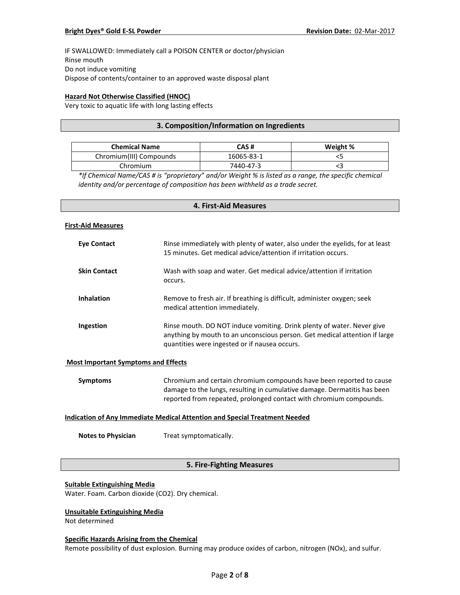IF SWALLOWED: Immediately call a POISON CENTER or doctor/physician Rinse mouth Do not induce vomiting Dispose of contents/container to an approved waste disposal plant

### **Hazard Not Otherwise Classified (HNOC)**

Very toxic to aquatic life with long lasting effects

### **3. Composition/Information on Ingredients**

| <b>Chemical Name</b>    | CAS #      | Weight % |
|-------------------------|------------|----------|
| Chromium(III) Compounds | 16065-83-1 |          |
| Chromium                | 7440-47-3  |          |

*\*If Chemical Name/CAS # is "proprietary" and/or Weight % is listed as a range, the specific chemical identity and/or percentage of composition has been withheld as a trade secret.*

## **4. First-Aid Measures**

#### **First-Aid Measures**

| Eye Contact         | Rinse immediately with plenty of water, also under the eyelids, for at least<br>15 minutes. Get medical advice/attention if irritation occurs.                                                        |
|---------------------|-------------------------------------------------------------------------------------------------------------------------------------------------------------------------------------------------------|
| <b>Skin Contact</b> | Wash with soap and water. Get medical advice/attention if irritation<br>occurs.                                                                                                                       |
| <b>Inhalation</b>   | Remove to fresh air. If breathing is difficult, administer oxygen; seek<br>medical attention immediately.                                                                                             |
| Ingestion           | Rinse mouth. DO NOT induce vomiting. Drink plenty of water. Never give<br>anything by mouth to an unconscious person. Get medical attention if large<br>quantities were ingested or if nausea occurs. |

#### **Most Important Symptoms and Effects**

| Symptoms | Chromium and certain chromium compounds have been reported to cause      |
|----------|--------------------------------------------------------------------------|
|          | damage to the lungs, resulting in cumulative damage. Dermatitis has been |
|          | reported from repeated, prolonged contact with chromium compounds.       |

### **Indication of Any Immediate Medical Attention and Special Treatment Needed**

**Notes to Physician** Treat symptomatically.

### **5. Fire-Fighting Measures**

#### **Suitable Extinguishing Media**

Water. Foam. Carbon dioxide (CO2). Dry chemical.

### **Unsuitable Extinguishing Media**

Not determined

#### **Specific Hazards Arising from the Chemical**

Remote possibility of dust explosion. Burning may produce oxides of carbon, nitrogen (NOx), and sulfur.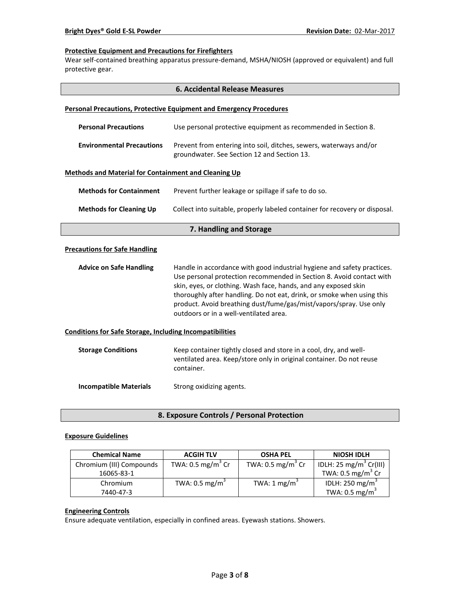### **Protective Equipment and Precautions for Firefighters**

Wear self-contained breathing apparatus pressure-demand, MSHA/NIOSH (approved or equivalent) and full protective gear.

| <b>6. Accidental Release Measures</b>                           |                                                                                                                                                                                                                                                                                                                                                                                                              |  |  |  |
|-----------------------------------------------------------------|--------------------------------------------------------------------------------------------------------------------------------------------------------------------------------------------------------------------------------------------------------------------------------------------------------------------------------------------------------------------------------------------------------------|--|--|--|
|                                                                 | <b>Personal Precautions, Protective Equipment and Emergency Procedures</b>                                                                                                                                                                                                                                                                                                                                   |  |  |  |
| <b>Personal Precautions</b>                                     | Use personal protective equipment as recommended in Section 8.                                                                                                                                                                                                                                                                                                                                               |  |  |  |
| <b>Environmental Precautions</b>                                | Prevent from entering into soil, ditches, sewers, waterways and/or<br>groundwater. See Section 12 and Section 13.                                                                                                                                                                                                                                                                                            |  |  |  |
| <b>Methods and Material for Containment and Cleaning Up</b>     |                                                                                                                                                                                                                                                                                                                                                                                                              |  |  |  |
| <b>Methods for Containment</b>                                  | Prevent further leakage or spillage if safe to do so.                                                                                                                                                                                                                                                                                                                                                        |  |  |  |
| <b>Methods for Cleaning Up</b>                                  | Collect into suitable, properly labeled container for recovery or disposal.                                                                                                                                                                                                                                                                                                                                  |  |  |  |
|                                                                 | 7. Handling and Storage                                                                                                                                                                                                                                                                                                                                                                                      |  |  |  |
| <b>Precautions for Safe Handling</b>                            |                                                                                                                                                                                                                                                                                                                                                                                                              |  |  |  |
| <b>Advice on Safe Handling</b>                                  | Handle in accordance with good industrial hygiene and safety practices.<br>Use personal protection recommended in Section 8. Avoid contact with<br>skin, eyes, or clothing. Wash face, hands, and any exposed skin<br>thoroughly after handling. Do not eat, drink, or smoke when using this<br>product. Avoid breathing dust/fume/gas/mist/vapors/spray. Use only<br>outdoors or in a well-ventilated area. |  |  |  |
| <b>Conditions for Safe Storage, Including Incompatibilities</b> |                                                                                                                                                                                                                                                                                                                                                                                                              |  |  |  |
| <b>Storage Conditions</b>                                       | Keep container tightly closed and store in a cool, dry, and well-<br>ventilated area. Keep/store only in original container. Do not reuse<br>container.                                                                                                                                                                                                                                                      |  |  |  |
| <b>Incompatible Materials</b>                                   | Strong oxidizing agents.                                                                                                                                                                                                                                                                                                                                                                                     |  |  |  |

**8. Exposure Controls / Personal Protection**

### **Exposure Guidelines**

| <b>Chemical Name</b>     | <b>ACGIH TLV</b>             | <b>OSHA PEL</b>              | <b>NIOSH IDLH</b>                  |
|--------------------------|------------------------------|------------------------------|------------------------------------|
| Chromium (III) Compounds | TWA: $0.5 \text{ mg/m}^3$ Cr | TWA: $0.5 \text{ mg/m}^3$ Cr | IDLH: 25 mg/m <sup>3</sup> Cr(III) |
| 16065-83-1               |                              |                              | TWA: $0.5 \text{ mg/m}^3$ Cr       |
| Chromium                 | TWA: $0.5 \text{ mg/m}^3$    | TWA: $1 \text{ mg/m}^3$      | IDLH: 250 mg/m <sup>3</sup>        |
| 7440-47-3                |                              |                              | TWA: $0.5 \text{ mg/m}^3$          |

### **Engineering Controls**

Ensure adequate ventilation, especially in confined areas. Eyewash stations. Showers.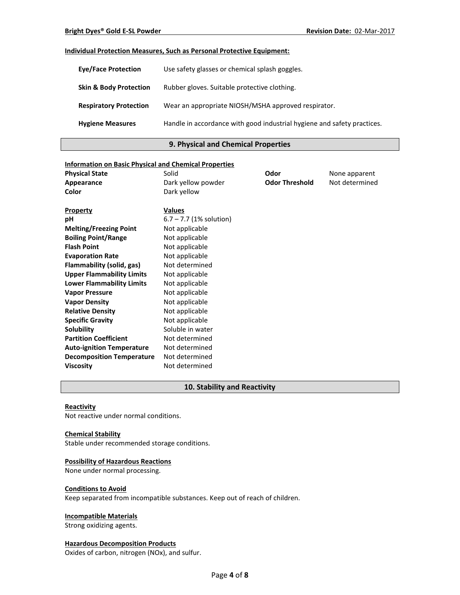#### **Individual Protection Measures, Such as Personal Protective Equipment:**

| <b>Eve/Face Protection</b>        | Use safety glasses or chemical splash goggles.                          |
|-----------------------------------|-------------------------------------------------------------------------|
| <b>Skin &amp; Body Protection</b> | Rubber gloves. Suitable protective clothing.                            |
| <b>Respiratory Protection</b>     | Wear an appropriate NIOSH/MSHA approved respirator.                     |
| <b>Hygiene Measures</b>           | Handle in accordance with good industrial hygiene and safety practices. |

### **9. Physical and Chemical Properties**

# **Information on Basic Physical and Chemical Properties Physical State Collection Solid Collection Solid Collection Collection Collection Area Proportional Collection Area Proportion Collection Area Proportion Area Proportion Area Proportion Area Proportion Area Proporti Appearance** Dark yellow powder **Odor Threshold** Not determined **Color** Dark yellow **Property Values pH** 6.7 – 7.7 (1% solution) **Melting/Freezing Point** Not applicable **Boiling Point/Range** Not applicable **Flash Point** Not applicable **Evaporation Rate** Not applicable **Flammability (solid, gas)** Not determined **Upper Flammability Limits** Not applicable **Lower Flammability Limits** Not applicable **Vapor Pressure** Not applicable **Vapor Density** Not applicable **Relative Density Not applicable Specific Gravity Not applicable Solubility** Soluble in water **Partition Coefficient** Not determined Auto-ignition Temperature Not determined **Decomposition Temperature** Not determined **Viscosity** Not determined

### **10. Stability and Reactivity**

#### **Reactivity**

Not reactive under normal conditions.

#### **Chemical Stability**

Stable under recommended storage conditions.

#### **Possibility of Hazardous Reactions**

None under normal processing.

#### **Conditions to Avoid**

Keep separated from incompatible substances. Keep out of reach of children.

#### **Incompatible Materials**

Strong oxidizing agents.

### **Hazardous Decomposition Products**

Oxides of carbon, nitrogen (NOx), and sulfur.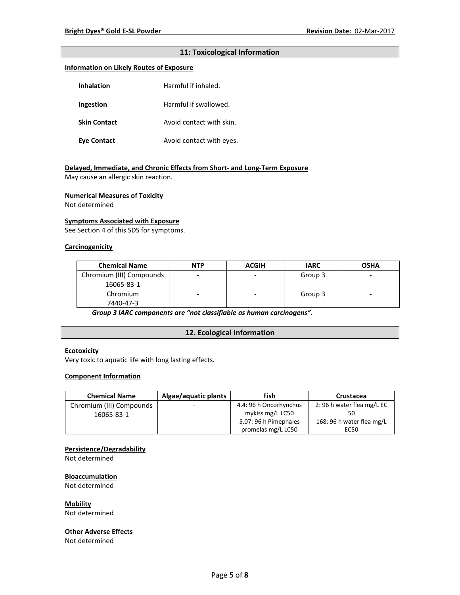### **11: Toxicological Information**

#### **Information on Likely Routes of Exposure**

| <b>Inhalation</b>   | Harmful if inhaled.      |
|---------------------|--------------------------|
| Ingestion           | Harmful if swallowed.    |
| <b>Skin Contact</b> | Avoid contact with skin. |
| <b>Eye Contact</b>  | Avoid contact with eyes. |

#### **Delayed, Immediate, and Chronic Effects from Short- and Long-Term Exposure**

May cause an allergic skin reaction.

#### **Numerical Measures of Toxicity**

Not determined

#### **Symptoms Associated with Exposure**

See Section 4 of this SDS for symptoms.

#### **Carcinogenicity**

| <b>Chemical Name</b>     | <b>NTP</b> | <b>ACGIH</b> | <b>IARC</b> | <b>OSHA</b> |
|--------------------------|------------|--------------|-------------|-------------|
| Chromium (III) Compounds |            |              | Group 3     | -           |
| 16065-83-1               |            |              |             |             |
| Chromium                 | -          | -            | Group 3     | -           |
| 7440-47-3                |            |              |             |             |

*Group 3 IARC components are "not classifiable as human carcinogens".*

### **12. Ecological Information**

### **Ecotoxicity**

Very toxic to aquatic life with long lasting effects.

#### **Component Information**

| <b>Chemical Name</b>     | Algae/aquatic plants     | Fish                   | Crustacea                 |
|--------------------------|--------------------------|------------------------|---------------------------|
| Chromium (III) Compounds | $\overline{\phantom{0}}$ | 4.4: 96 h Oncorhynchus | 2:96 h water flea mg/L EC |
| 16065-83-1               |                          | mykiss mg/L LC50       |                           |
|                          |                          | 5.07: 96 h Pimephales  | 168: 96 h water flea mg/L |
|                          |                          | promelas mg/L LC50     | EC50                      |

### **Persistence/Degradability**

Not determined

### **Bioaccumulation**

Not determined

**Mobility**

Not determined

#### **Other Adverse Effects**

Not determined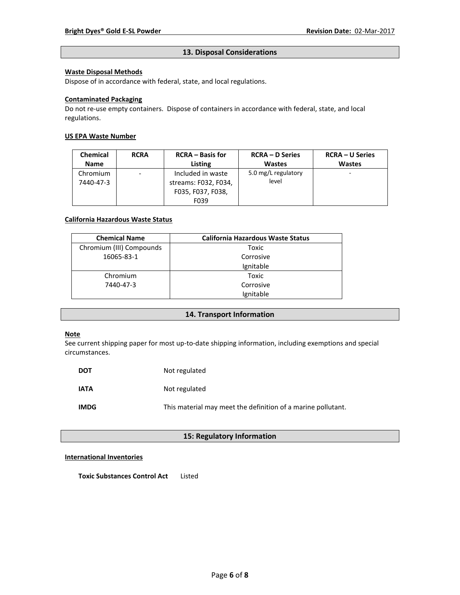### **13. Disposal Considerations**

### **Waste Disposal Methods**

Dispose of in accordance with federal, state, and local regulations.

### **Contaminated Packaging**

Do not re-use empty containers.Dispose of containers in accordance with federal, state, and local regulations.

### **US EPA Waste Number**

| <b>Chemical</b> | <b>RCRA</b>              | <b>RCRA</b> – Basis for | <b>RCRA – D Series</b> | <b>RCRA – U Series</b> |
|-----------------|--------------------------|-------------------------|------------------------|------------------------|
| <b>Name</b>     |                          | Listing                 | <b>Wastes</b>          | <b>Wastes</b>          |
| Chromium        | $\overline{\phantom{0}}$ | Included in waste       | 5.0 mg/L regulatory    | ۰                      |
| 7440-47-3       |                          | streams: F032, F034,    | level                  |                        |
|                 |                          | F035, F037, F038,       |                        |                        |
|                 |                          | F039                    |                        |                        |

#### **California Hazardous Waste Status**

| <b>Chemical Name</b>     | <b>California Hazardous Waste Status</b> |
|--------------------------|------------------------------------------|
| Chromium (III) Compounds | Toxic                                    |
| 16065-83-1               | Corrosive                                |
|                          | Ignitable                                |
| Chromium                 | Toxic                                    |
| 7440-47-3                | Corrosive                                |
|                          | Ignitable                                |

### **14. Transport Information**

### **Note**

See current shipping paper for most up-to-date shipping information, including exemptions and special circumstances.

| DOT         | Not regulated                                                |
|-------------|--------------------------------------------------------------|
| <b>IATA</b> | Not regulated                                                |
| <b>IMDG</b> | This material may meet the definition of a marine pollutant. |

### **15: Regulatory Information**

### **International Inventories**

**Toxic Substances Control Act** Listed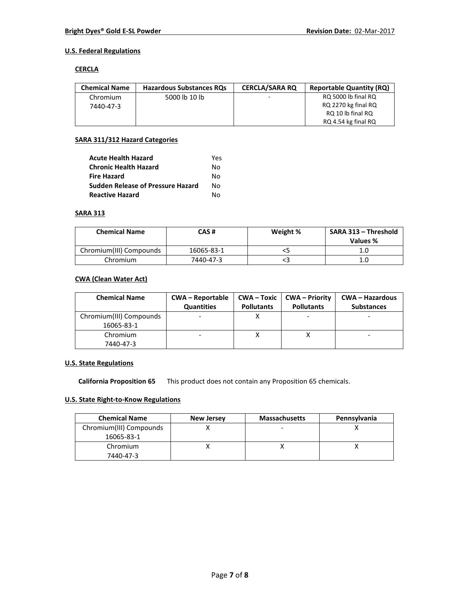### **U.S. Federal Regulations**

### **CERCLA**

| <b>Chemical Name</b> | <b>Hazardous Substances ROs</b> | <b>CERCLA/SARA RO</b> | <b>Reportable Quantity (RQ)</b> |
|----------------------|---------------------------------|-----------------------|---------------------------------|
| Chromium             | 5000 lb 10 lb                   | -                     | RQ 5000 lb final RQ             |
| 7440-47-3            |                                 |                       | RQ 2270 kg final RQ             |
|                      |                                 |                       | RQ 10 lb final RQ               |
|                      |                                 |                       | RQ 4.54 kg final RQ             |

### **SARA 311/312 Hazard Categories**

| <b>Acute Health Hazard</b>               | Yes |
|------------------------------------------|-----|
| <b>Chronic Health Hazard</b>             | N٥  |
| <b>Fire Hazard</b>                       | N٥  |
| <b>Sudden Release of Pressure Hazard</b> | N٥  |
| <b>Reactive Hazard</b>                   | N٥  |

### **SARA 313**

| <b>Chemical Name</b>    | CAS #      | Weight % | SARA 313 - Threshold<br>Values % |
|-------------------------|------------|----------|----------------------------------|
| Chromium(III) Compounds | 16065-83-1 |          |                                  |
| Chromium                | 7440-47-3  |          | 1.0                              |

### **CWA (Clean Water Act)**

| <b>Chemical Name</b>    | <b>CWA - Reportable</b><br><b>Quantities</b> | $CWA - Toxic$<br><b>Pollutants</b> | CWA – Priority<br><b>Pollutants</b> | <b>CWA - Hazardous</b><br><b>Substances</b> |
|-------------------------|----------------------------------------------|------------------------------------|-------------------------------------|---------------------------------------------|
| Chromium(III) Compounds |                                              |                                    |                                     |                                             |
| 16065-83-1              |                                              |                                    |                                     |                                             |
| Chromium                |                                              |                                    |                                     |                                             |
| 7440-47-3               |                                              |                                    |                                     |                                             |

### **U.S. State Regulations**

**California Proposition 65** This product does not contain any Proposition 65 chemicals.

# **U.S. State Right-to-Know Regulations**

| <b>Chemical Name</b>    | <b>New Jersey</b> | <b>Massachusetts</b> | Pennsylvania |
|-------------------------|-------------------|----------------------|--------------|
| Chromium(III) Compounds |                   |                      |              |
| 16065-83-1              |                   |                      |              |
| Chromium                |                   |                      |              |
| 7440-47-3               |                   |                      |              |